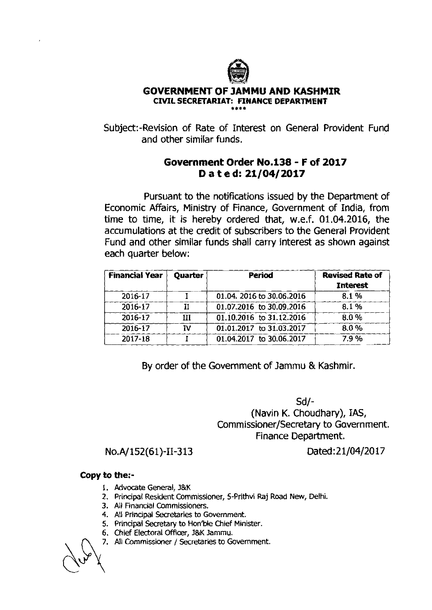

## **GOVERNMENT OF JAMMU AND KASHMIR CML SECRETARIAT: FINANCE DEPARTMENT**  *88..*

Subject:-Revision of Rate of Interest on General Provident Fund and other similar funds.

## **Government Order No.138** - **F of 2017 D a t e d: 21/04/2017**

Pursuant to the notifications issued by the Department of Economic Affairs, Ministry of Finance, Government of India, from time to time, it is hereby ordered that, w.e.f. 01.04.2016, the accumulations at the credit of subscribers to the General Provident Fund and other similar funds shall carry interest as shown against each quarter below:

| <b>Financial Year</b> | <b>Quarter</b> | Period                    | <b>Revised Rate of</b><br><b>Interest</b> |
|-----------------------|----------------|---------------------------|-------------------------------------------|
| 2016-17               |                | 01.04. 2016 to 30.06.2016 | 8.1%                                      |
| 2016-17               | TT             | 01.07.2016 to 30.09.2016  | 8.1%                                      |
| 2016-17               | Ħ              | 01.10.2016 to 31.12.2016  | 8.0%                                      |
| 2016-17               | ΤV             | 01.01.2017 to 31.03.2017  | 8.0%                                      |
| 2017-18               |                | 01.04.2017 to 30.06.2017  | 7.9%                                      |

By order of the Government of Jammu & Kashmir.

Sd/- (Navin K. Choudhary), **IAS,**  Commissioner/Secretary to Government. Finance Department.

No.A/152(61)-11-313 Dated: 2 1/04/20 17

## **Copy to the:-**

- 1. Advocate General, J&K
- 2. Principal Resident Commissioner, 5-Prithvi **Raj** Road **New,** Delhi.
- 3. Ail Financial Commissioners.
- 4. All Principal Secretaries to Government.
- 5. Principal Secretary to Hon'ble Chief Minister.
- 6. Chief Electoral Officer, J&K Jammu.
- 7. All Commissioner / Secretaries to Government.